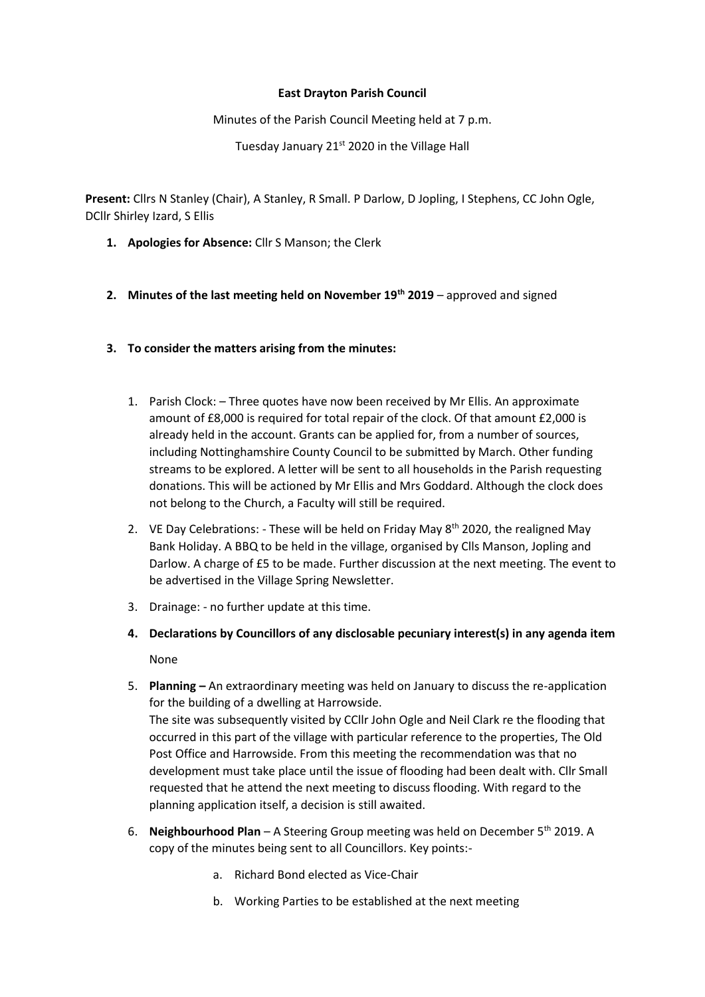## **East Drayton Parish Council**

## Minutes of the Parish Council Meeting held at 7 p.m.

Tuesday January 21<sup>st</sup> 2020 in the Village Hall

**Present:** Cllrs N Stanley (Chair), A Stanley, R Small. P Darlow, D Jopling, I Stephens, CC John Ogle, DCllr Shirley Izard, S Ellis

- **1. Apologies for Absence:** Cllr S Manson; the Clerk
- **2. Minutes of the last meeting held on November 19th 2019** approved and signed
- **3. To consider the matters arising from the minutes:**
	- 1. Parish Clock: Three quotes have now been received by Mr Ellis. An approximate amount of £8,000 is required for total repair of the clock. Of that amount £2,000 is already held in the account. Grants can be applied for, from a number of sources, including Nottinghamshire County Council to be submitted by March. Other funding streams to be explored. A letter will be sent to all households in the Parish requesting donations. This will be actioned by Mr Ellis and Mrs Goddard. Although the clock does not belong to the Church, a Faculty will still be required.
	- 2. VE Day Celebrations: These will be held on Friday May  $8<sup>th</sup>$  2020, the realigned May Bank Holiday. A BBQ to be held in the village, organised by Clls Manson, Jopling and Darlow. A charge of £5 to be made. Further discussion at the next meeting. The event to be advertised in the Village Spring Newsletter.
	- 3. Drainage: no further update at this time.
	- **4. Declarations by Councillors of any disclosable pecuniary interest(s) in any agenda item** None
	- 5. **Planning –** An extraordinary meeting was held on January to discuss the re-application for the building of a dwelling at Harrowside. The site was subsequently visited by CCllr John Ogle and Neil Clark re the flooding that occurred in this part of the village with particular reference to the properties, The Old Post Office and Harrowside. From this meeting the recommendation was that no development must take place until the issue of flooding had been dealt with. Cllr Small requested that he attend the next meeting to discuss flooding. With regard to the planning application itself, a decision is still awaited.
	- 6. **Neighbourhood Plan**  A Steering Group meeting was held on December 5th 2019. A copy of the minutes being sent to all Councillors. Key points:
		- a. Richard Bond elected as Vice-Chair
		- b. Working Parties to be established at the next meeting